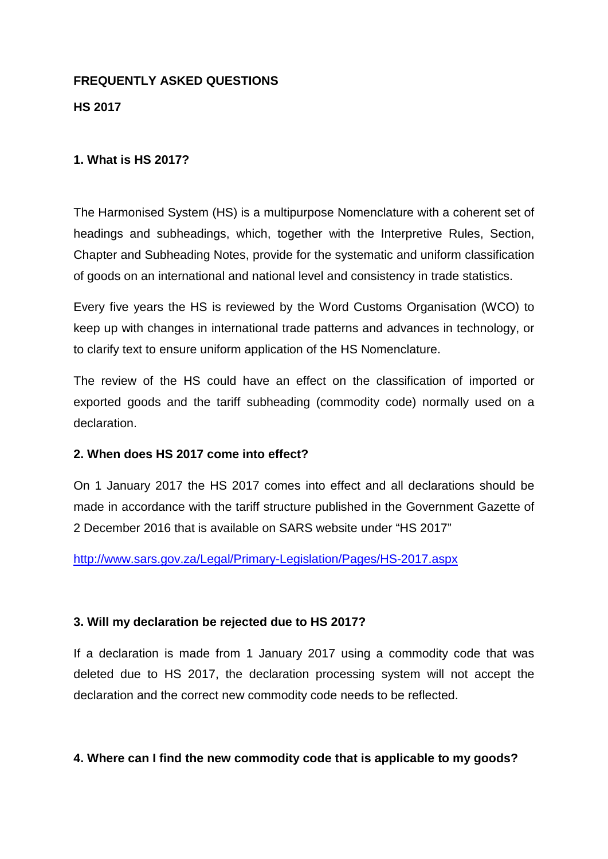#### **FREQUENTLY ASKED QUESTIONS**

### **HS 2017**

### **1. What is HS 2017?**

The Harmonised System (HS) is a multipurpose Nomenclature with a coherent set of headings and subheadings, which, together with the Interpretive Rules, Section, Chapter and Subheading Notes, provide for the systematic and uniform classification of goods on an international and national level and consistency in trade statistics.

Every five years the HS is reviewed by the Word Customs Organisation (WCO) to keep up with changes in international trade patterns and advances in technology, or to clarify text to ensure uniform application of the HS Nomenclature.

The review of the HS could have an effect on the classification of imported or exported goods and the tariff subheading (commodity code) normally used on a declaration.

## **2. When does HS 2017 come into effect?**

On 1 January 2017 the HS 2017 comes into effect and all declarations should be made in accordance with the tariff structure published in the Government Gazette of 2 December 2016 that is available on SARS website under "HS 2017"

<http://www.sars.gov.za/Legal/Primary-Legislation/Pages/HS-2017.aspx>

#### **3. Will my declaration be rejected due to HS 2017?**

If a declaration is made from 1 January 2017 using a commodity code that was deleted due to HS 2017, the declaration processing system will not accept the declaration and the correct new commodity code needs to be reflected.

## **4. Where can I find the new commodity code that is applicable to my goods?**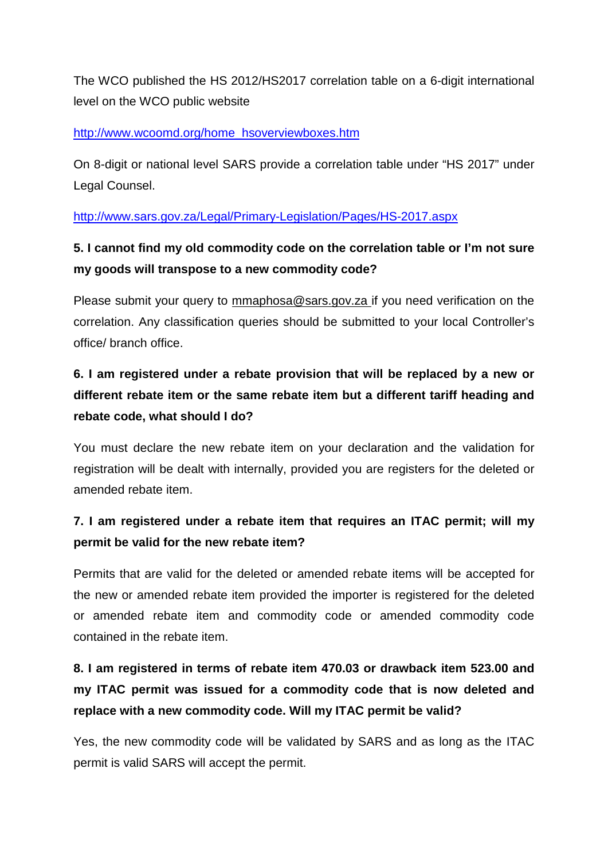The WCO published the HS 2012/HS2017 correlation table on a 6-digit international level on the WCO public website

### [http://www.wcoomd.org/home\\_hsoverviewboxes.htm](http://www.wcoomd.org/home_hsoverviewboxes.htm)

On 8-digit or national level SARS provide a correlation table under "HS 2017" under Legal Counsel.

<http://www.sars.gov.za/Legal/Primary-Legislation/Pages/HS-2017.aspx>

## **5. I cannot find my old commodity code on the correlation table or I'm not sure my goods will transpose to a new commodity code?**

Please submit your query to mmaphosa@sars.gov.za if you need verification on the correlation. Any classification queries should be submitted to your local Controller's office/ branch office.

# **6. I am registered under a rebate provision that will be replaced by a new or different rebate item or the same rebate item but a different tariff heading and rebate code, what should I do?**

You must declare the new rebate item on your declaration and the validation for registration will be dealt with internally, provided you are registers for the deleted or amended rebate item.

## **7. I am registered under a rebate item that requires an ITAC permit; will my permit be valid for the new rebate item?**

Permits that are valid for the deleted or amended rebate items will be accepted for the new or amended rebate item provided the importer is registered for the deleted or amended rebate item and commodity code or amended commodity code contained in the rebate item.

# **8. I am registered in terms of rebate item 470.03 or drawback item 523.00 and my ITAC permit was issued for a commodity code that is now deleted and replace with a new commodity code. Will my ITAC permit be valid?**

Yes, the new commodity code will be validated by SARS and as long as the ITAC permit is valid SARS will accept the permit.